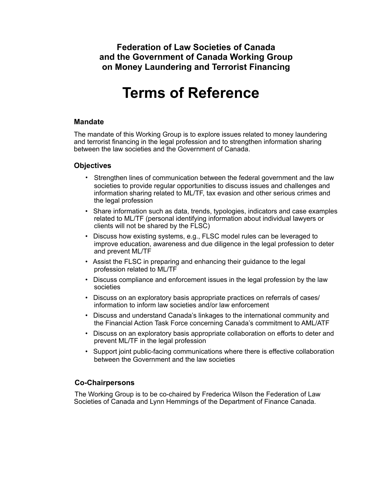**Federation of Law Societies of Canada and the Government of Canada Working Group on Money Laundering and Terrorist Financing**

# **Terms of Reference**

#### **Mandate**

The mandate of this Working Group is to explore issues related to money laundering and terrorist financing in the legal profession and to strengthen information sharing between the law societies and the Government of Canada.

#### **Objectives**

- Strengthen lines of communication between the federal government and the law societies to provide regular opportunities to discuss issues and challenges and information sharing related to ML/TF, tax evasion and other serious crimes and the legal profession
- Share information such as data, trends, typologies, indicators and case examples related to ML/TF (personal identifying information about individual lawyers or clients will not be shared by the FLSC)
- Discuss how existing systems, e.g., FLSC model rules can be leveraged to improve education, awareness and due diligence in the legal profession to deter and prevent ML/TF
- Assist the FLSC in preparing and enhancing their guidance to the legal profession related to ML/TF
- Discuss compliance and enforcement issues in the legal profession by the law societies
- Discuss on an exploratory basis appropriate practices on referrals of cases/ information to inform law societies and/or law enforcement
- Discuss and understand Canada's linkages to the international community and the Financial Action Task Force concerning Canada's commitment to AML/ATF
- Discuss on an exploratory basis appropriate collaboration on efforts to deter and prevent ML/TF in the legal profession
- Support joint public-facing communications where there is effective collaboration between the Government and the law societies

## **Co-Chairpersons**

The Working Group is to be co-chaired by Frederica Wilson the Federation of Law Societies of Canada and Lynn Hemmings of the Department of Finance Canada.